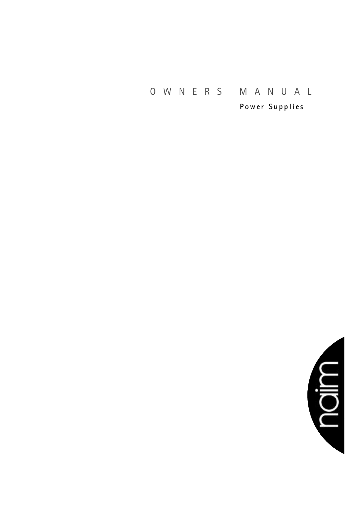# O W N E R S M A N U A L

**P o w er S u p p li es**

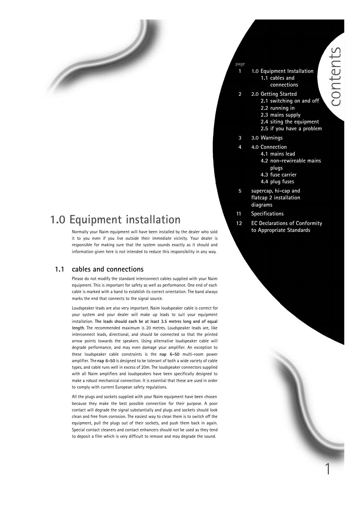## **1.0 Equipment installation**

Normally your Naim equipment will have been installed by the dealer who sold it to you even if you live outside their immediate vicinity. Your dealer is responsible for making sure that the system sounds exactly as it should and information given here is not intended to reduce this responsibility in any way.

#### **1.1 cables and connections**

 $\overline{\phantom{a}}$ 

Please do not modify the standard interconnect cables supplied with your Naim equipment. This is important for safety as well as performance. One end of each cable is marked with a band to establish its correct orientation. The band always marks the end that connects to the signal source.

Loudspeaker leads are also very important. Naim loudspeaker cable is correct for your system and your dealer will make up leads to suit your equipment installation. **The leads should each be at least 3.5 metres long and of equal length**. The recommended maximum is 20 metres. Loudspeaker leads are, like interconnect leads, directional, and should be connected so that the printed arrow points towards the speakers. Using alternative loudspeaker cable will degrade performance, and may even damage your amplifier. An exception to these loudspeaker cable constraints is the **nap 6-50** multi-room power amplifier. The **nap 6-50** is designed to be tolerant of both a wide variety of cable types, and cable runs well in excess of 20m. The loudspeaker connectors supplied with all Naim amplifiers and loudspeakers have been specifically designed to make a robust mechanical connection. It is essential that these are used in order to comply with current European safety regulations.

All the plugs and sockets supplied with your Naim equipment have been chosen because they make the best possible connection for their purpose. A poor contact will degrade the signal substantially and plugs and sockets should look clean and free from corrosion. The easiest way to clean them is to switch off the equipment, pull the plugs out of their sockets, and push them back in again. Special contact cleaners and contact enhancers should not be used as they tend to deposit a film which is very difficult to remove and may degrade the sound.

- **1 1.0 Equipment Installation 1.1 cables and connections**
- **2 2.0 Getting Started 2.1 switching on and off 2.2 running in**
	- **2.3 mains supply**
	- **2.4 siting the equipment**
	- **2.5 if you have a problem**
- **3 3.0 Warnings**

**page**

- **4 4.0 Connection**
	- **4.1 mains lead**
		- **4.2 non-rewireable mains plugs**
	- **4.3 fuse carrier**
	- **4.4 plug fuses**
- **5 supercap, hi-cap and flatcap 2 installation diagrams**
- **11 Specifications**
- **12 EC Declarations of Conformity to Appropriate Standards**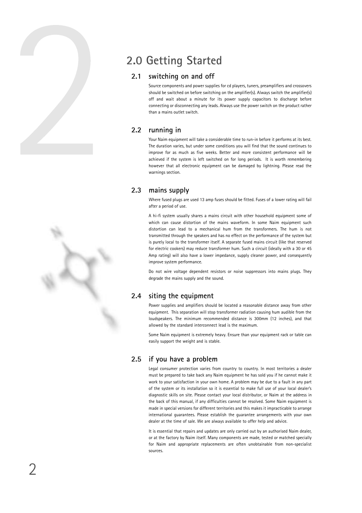

## **2.0 Getting Started**

#### **2.1 switching on and off**

Source components and power supplies for cd players, tuners, preamplifiers and crossovers should be switched on before switching on the amplifier(s). Always switch the amplifier(s) off and wait about a minute for its power supply capacitors to discharge before connecting or disconnecting any leads. Always use the power switch on the product rather than a mains outlet switch.

### **2.2 running in**

Your Naim equipment will take a considerable time to run-in before it performs at its best. The duration varies, but under some conditions you will find that the sound continues to improve for as much as five weeks. Better and more consistent performance will be achieved if the system is left switched on for long periods. It is worth remembering however that all electronic equipment can be damaged by lightning. Please read the warnings section.

#### **2.3 mains supply**

Where fused plugs are used 13 amp fuses should be fitted. Fuses of a lower rating will fail after a period of use.

A hi-fi system usually shares a mains circuit with other household equipment some of which can cause distortion of the mains waveform. In some Naim equipment such distortion can lead to a mechanical hum from the transformers. The hum is not transmitted through the speakers and has no effect on the performance of the system but is purely local to the transformer itself. A separate fused mains circuit (like that reserved for electric cookers) may reduce transformer hum. Such a circuit (ideally with a 30 or 45 Amp rating) will also have a lower impedance, supply cleaner power, and consequently improve system performance.

Do not wire voltage dependent resistors or noise suppressors into mains plugs. They degrade the mains supply and the sound.

### **2.4 siting the equipment**

Power supplies and amplifiers should be located a reasonable distance away from other equipment. This separation will stop transformer radiation causing hum audible from the loudspeakers. The minimum recommended distance is 300mm (12 inches), and that allowed by the standard interconnect lead is the maximum.

Some Naim equipment is extremely heavy. Ensure than your equipment rack or table can easily support the weight and is stable.

### **2.5 if you have a problem**

Legal consumer protection varies from country to country. In most territories a dealer must be prepared to take back any Naim equipment he has sold you if he cannot make it work to your satisfaction in your own home. A problem may be due to a fault in any part of the system or its installation so it is essential to make full use of your local dealer's diagnostic skills on site. Please contact your local distributor, or Naim at the address in the back of this manual, if any difficulties cannot be resolved. Some Naim equipment is made in special versions for different territories and this makes it impracticable to arrange international guarantees. Please establish the guarantee arrangements with your own dealer at the time of sale. We are always available to offer help and advice.

It is essential that repairs and updates are only carried out by an authorised Naim dealer, or at the factory by Naim itself. Many components are made, tested or matched specially for Naim and appropriate replacements are often unobtainable from non-specialist sources.

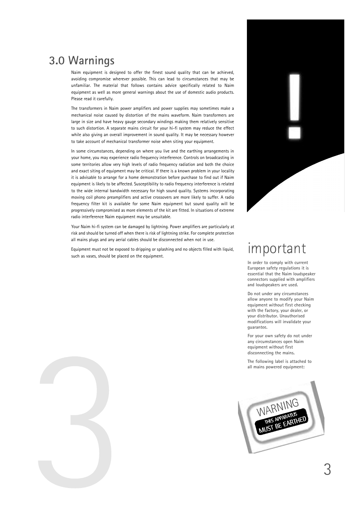## **3.0 Warnings**

Naim equipment is designed to offer the finest sound quality that can be achieved, avoiding compromise wherever possible. This can lead to circumstances that may be unfamiliar. The material that follows contains advice specifically related to Naim equipment as well as more general warnings about the use of domestic audio products. Please read it carefully.

The transformers in Naim power amplifiers and power supplies may sometimes make a mechanical noise caused by distortion of the mains waveform. Naim transformers are large in size and have heavy gauge secondary windings making them relatively sensitive to such distortion. A separate mains circuit for your hi-fi system may reduce the effect while also giving an overall improvement in sound quality. It may be necessary however to take account of mechanical transformer noise when siting your equipment.

In some circumstances, depending on where you live and the earthing arrangements in your home, you may experience radio frequency interference. Controls on broadcasting in some territories allow very high levels of radio frequency radiation and both the choice and exact siting of equipment may be critical. If there is a known problem in your locality it is advisable to arrange for a home demonstration before purchase to find out if Naim equipment is likely to be affected. Susceptibility to radio frequency interference is related to the wide internal bandwidth necessary for high sound quality. Systems incorporating moving coil phono preamplifiers and active crossovers are more likely to suffer. A radio frequency filter kit is available for some Naim equipment but sound quality will be progressively compromised as more elements of the kit are fitted. In situations of extreme radio interference Naim equipment may be unsuitable.

Your Naim hi-fi system can be damaged by lightning. Power amplifiers are particularly at risk and should be turned off when there is risk of lightning strike. For complete protection all mains plugs and any aerial cables should be disconnected when not in use.

Equipment must not be exposed to dripping or splashing and no objects filled with liquid, such as vases, should be placed on the equipment.



## important

**In order to comply with current European safety regulations it is essential that the Naim loudspeaker connectors supplied with amplifiers and loudspeakers are used.**

**Do not under any circumstances allow anyone to modify your Naim equipment without first checking with the factory, your dealer, or your distributor. Unauthorised modifications will invalidate your guarantee.**

**For your own safety do not under any circumstances open Naim equipment without first disconnecting the mains.**

**The following label is attached to all mains powered equipment:**



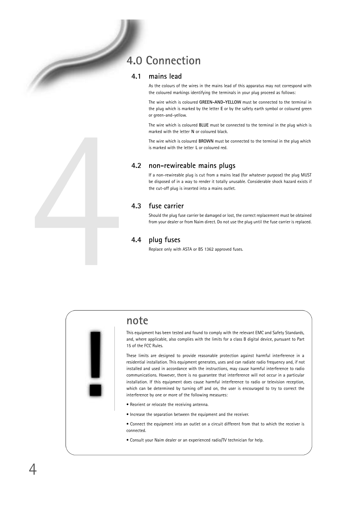## **4.0 Connection**

#### **4.1 mains lead**

As the colours of the wires in the mains lead of this apparatus may not correspond with the coloured markings identifying the terminals in your plug proceed as follows:

The wire which is coloured **GREEN-AND-YELLOW** must be connected to the terminal in the plug which is marked by the letter **E** or by the safety earth symbol or coloured green or green-and-yellow.

The wire which is coloured **BLUE** must be connected to the terminal in the plug which is marked with the letter **N** or coloured black.

The wire which is coloured **BROWN** must be connected to the terminal in the plug which is marked with the letter **L** or coloured red.

#### **4.2 non-rewireable mains plugs**

If a non-rewireable plug is cut from a mains lead (for whatever purpose) the plug MUST be disposed of in a way to render it totally unusable. Considerable shock hazard exists if the cut-off plug is inserted into a mains outlet.

### **4.3 fuse carrier**

Should the plug fuse carrier be damaged or lost, the correct replacement must be obtained from your dealer or from Naim direct. Do not use the plug until the fuse carrier is replaced.

#### **4.4 plug fuses**

Replace only with ASTA or BS 1362 approved fuses.



## **note**

This equipment has been tested and found to comply with the relevant EMC and Safety Standards, and, where applicable, also complies with the limits for a class B digital device, pursuant to Part 15 of the FCC Rules.

These limits are designed to provide reasonable protection against harmful interference in a residential installation. This equipment generates, uses and can radiate radio frequency and, if not installed and used in accordance with the instructions, may cause harmful interference to radio communications. However, there is no guarantee that interference will not occur in a particular installation. If this equipment does cause harmful interference to radio or television reception, which can be determined by turning off and on, the user is encouraged to try to correct the interference by one or more of the following measures:

- Reorient or relocate the receiving antenna.
- Increase the separation between the equipment and the receiver.

• Connect the equipment into an outlet on a circuit different from that to which the receiver is connected.

• Consult your Naim dealer or an experienced radio/TV technician for help.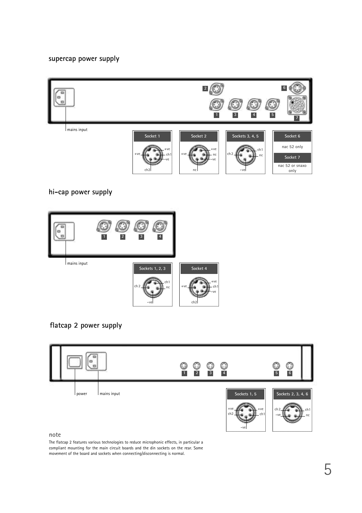### **supercap power supply**



**hi-cap power supply**



**flatcap 2 power supply**



The flatcap 2 features various technologies to reduce microphonic effects, in particular a compliant mounting for the main circuit boards and the din sockets on the rear. Some movement of the board and sockets when connecting/disconnecting is normal.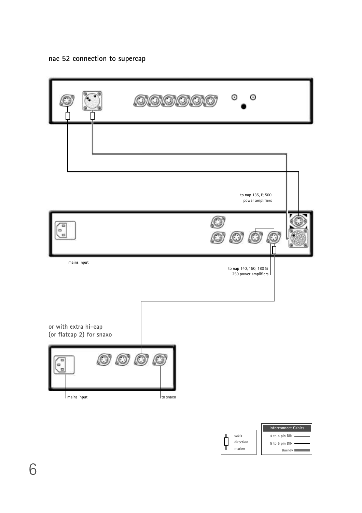## **nac 52 connection to supercap**





**cable direction marker**

Ų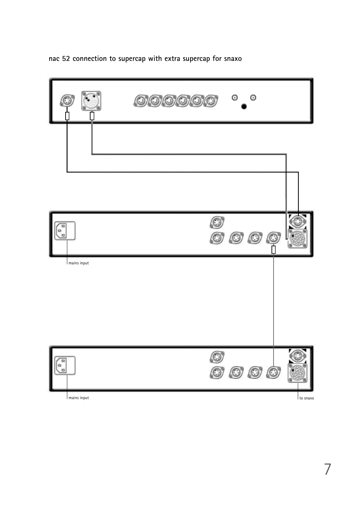**nac 52 connection to supercap with extra supercap for snaxo**



7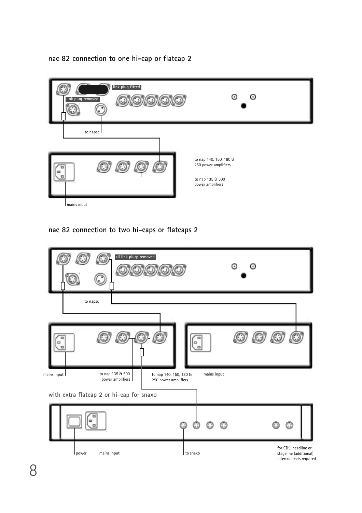## **nac 82 connection to one hi-cap or flatcap 2**



## **nac 82 connection to two hi-caps or flatcaps 2**

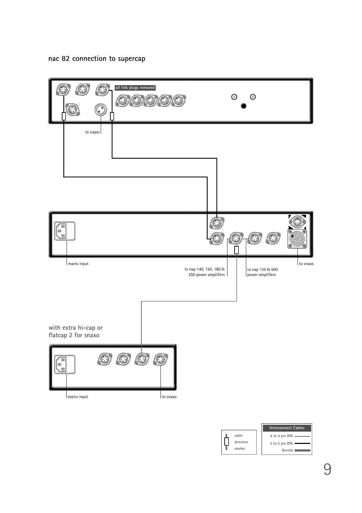## **nac 82 connection to supercap**



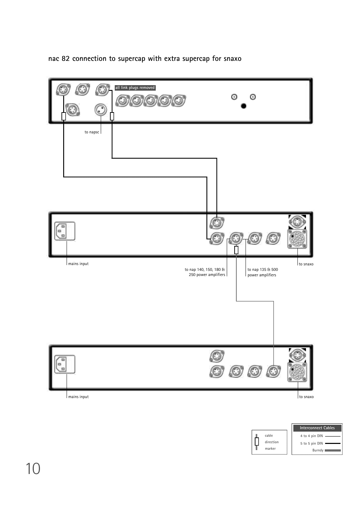**nac 82 connection to supercap with extra supercap for snaxo**



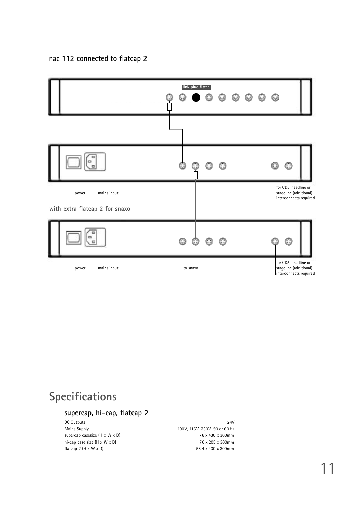## **nac 112 connected to flatcap 2**



## **Specifications**

## **supercap, hi-cap, flatcap 2**

DC Outputs 24V Mains Supply 100V, 115V, 230V 50 or 60Hz supercap casesize (H x W x D) 76 x 430 x 300mm hi-cap case size  $(H \times W \times D)$  76 x 205 x 300mm flatcap 2 (H x W x D) 58.4 x 430 x 300mm